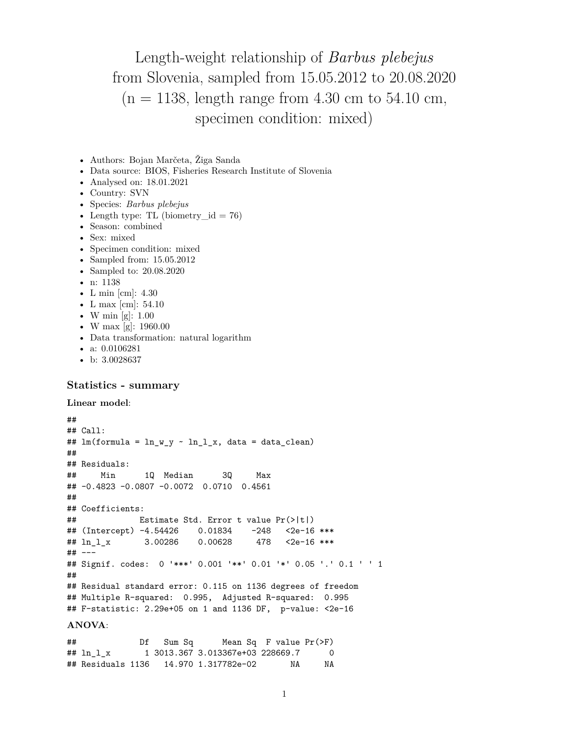Length-weight relationship of *Barbus plebejus* from Slovenia, sampled from 15.05.2012 to 20.08.2020  $(n = 1138, \text{ length range from } 4.30 \text{ cm to } 54.10 \text{ cm}$ , specimen condition: mixed)

- Authors: Bojan Marčeta, Žiga Sanda
- Data source: BIOS, Fisheries Research Institute of Slovenia
- Analysed on: 18.01.2021
- Country: SVN
- Species: *Barbus plebejus*
- Length type: TL (biometry  $id = 76$ )
- Season: combined
- Sex: mixed
- Specimen condition: mixed
- Sampled from: 15.05.2012
- Sampled to: 20.08.2020
- n: 1138
- L min [cm]: 4.30
- L max [cm]: 54.10
- W min [g]:  $1.00$
- W max [g]: 1960.00
- Data transformation: natural logarithm
- a: 0.0106281
- b: 3.0028637

## **Statistics - summary**

```
Linear model:
```

```
##
## Call:
## lm(formula = ln_w_y ~ n_l_l_x, data = data_clean)##
## Residuals:
## Min 1Q Median 3Q Max
## -0.4823 -0.0807 -0.0072 0.0710 0.4561
##
## Coefficients:
## Estimate Std. Error t value Pr(>|t|)
## (Intercept) -4.54426 0.01834 -248 <2e-16 ***
## ln_l_x 3.00286 0.00628 478 <2e-16 ***
## ---
## Signif. codes: 0 '***' 0.001 '**' 0.01 '*' 0.05 '.' 0.1 ' ' 1
##
## Residual standard error: 0.115 on 1136 degrees of freedom
## Multiple R-squared: 0.995, Adjusted R-squared: 0.995
## F-statistic: 2.29e+05 on 1 and 1136 DF, p-value: <2e-16
ANOVA:
```
## Df Sum Sq Mean Sq F value Pr(>F) ## ln\_l\_x 1 3013.367 3.013367e+03 228669.7 0 ## Residuals 1136 14.970 1.317782e-02 NA NA